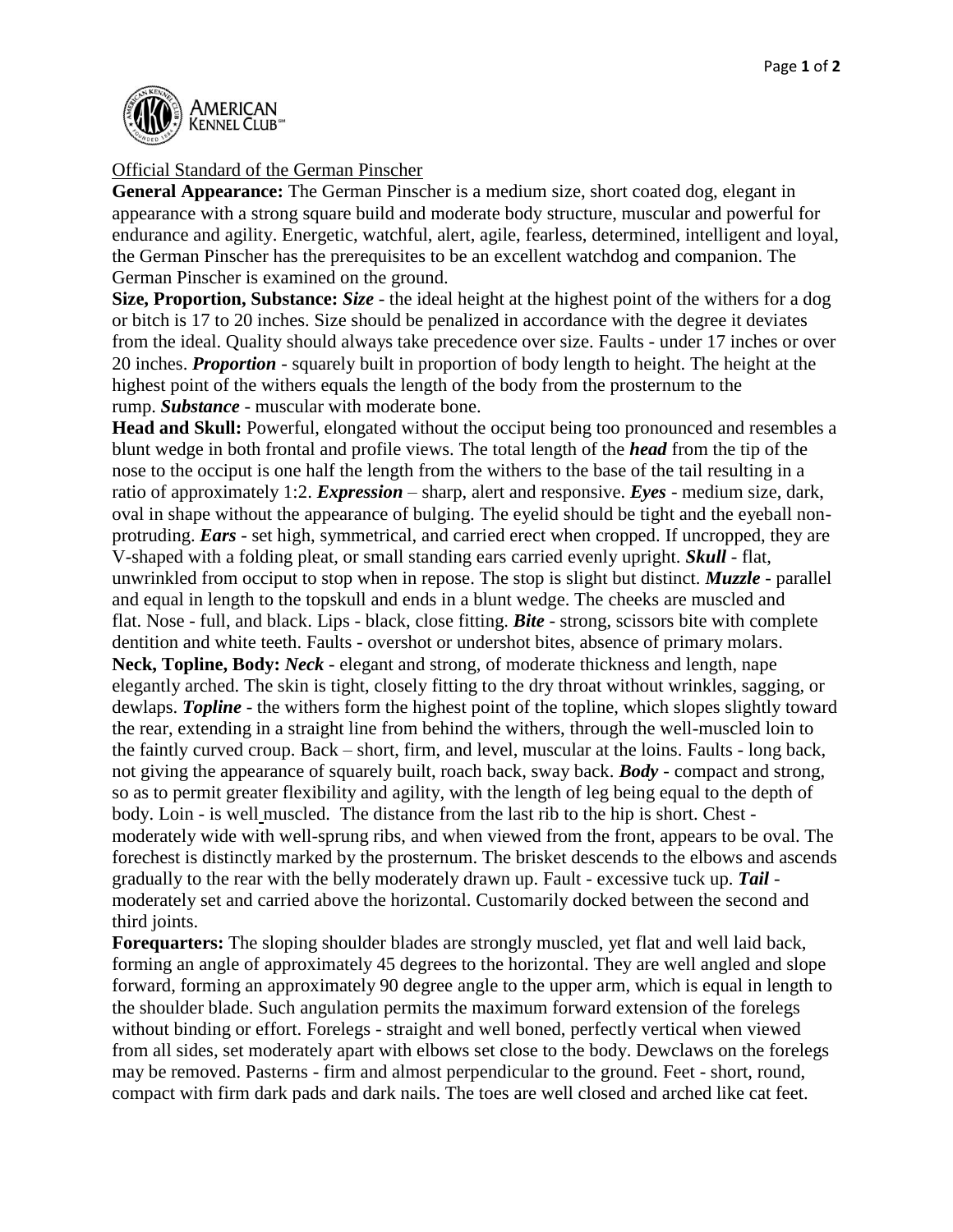

## Official Standard of the German Pinscher

**General Appearance:** The German Pinscher is a medium size, short coated dog, elegant in appearance with a strong square build and moderate body structure, muscular and powerful for endurance and agility. Energetic, watchful, alert, agile, fearless, determined, intelligent and loyal, the German Pinscher has the prerequisites to be an excellent watchdog and companion. The German Pinscher is examined on the ground.

**Size, Proportion, Substance:** *Size -* the ideal height at the highest point of the withers for a dog or bitch is 17 to 20 inches. Size should be penalized in accordance with the degree it deviates from the ideal. Quality should always take precedence over size. Faults - under 17 inches or over 20 inches. *Proportion -* squarely built in proportion of body length to height. The height at the highest point of the withers equals the length of the body from the prosternum to the rump. *Substance -* muscular with moderate bone.

**Head and Skull:** Powerful, elongated without the occiput being too pronounced and resembles a blunt wedge in both frontal and profile views. The total length of the *head* from the tip of the nose to the occiput is one half the length from the withers to the base of the tail resulting in a ratio of approximately 1:2. *Expression –* sharp, alert and responsive. *Eyes -* medium size, dark, oval in shape without the appearance of bulging. The eyelid should be tight and the eyeball nonprotruding. *Ears -* set high, symmetrical, and carried erect when cropped. If uncropped, they are V-shaped with a folding pleat, or small standing ears carried evenly upright. *Skull -* flat, unwrinkled from occiput to stop when in repose. The stop is slight but distinct. *Muzzle -* parallel and equal in length to the topskull and ends in a blunt wedge. The cheeks are muscled and flat. Nose *-* full, and black. Lips *-* black, close fitting. *Bite -* strong, scissors bite with complete dentition and white teeth. Faults *-* overshot or undershot bites, absence of primary molars. **Neck, Topline, Body:** *Neck -* elegant and strong, of moderate thickness and length, nape elegantly arched. The skin is tight, closely fitting to the dry throat without wrinkles, sagging, or dewlaps. *Topline -* the withers form the highest point of the topline, which slopes slightly toward the rear, extending in a straight line from behind the withers, through the well-muscled loin to the faintly curved croup. Back *–* short, firm, and level, muscular at the loins. Faults - long back, not giving the appearance of squarely built, roach back, sway back. *Body -* compact and strong, so as to permit greater flexibility and agility, with the length of leg being equal to the depth of body. Loin *-* is well muscled. The distance from the last rib to the hip is short. Chest  moderately wide with well-sprung ribs, and when viewed from the front, appears to be oval. The forechest is distinctly marked by the prosternum. The brisket descends to the elbows and ascends gradually to the rear with the belly moderately drawn up. Fault - excessive tuck up. *Tail*  moderately set and carried above the horizontal. Customarily docked between the second and third joints.

**Forequarters:** The sloping shoulder blades are strongly muscled, yet flat and well laid back, forming an angle of approximately 45 degrees to the horizontal. They are well angled and slope forward, forming an approximately 90 degree angle to the upper arm, which is equal in length to the shoulder blade. Such angulation permits the maximum forward extension of the forelegs without binding or effort. Forelegs *-* straight and well boned, perfectly vertical when viewed from all sides, set moderately apart with elbows set close to the body. Dewclaws on the forelegs may be removed. Pasterns *-* firm and almost perpendicular to the ground. Feet *-* short, round, compact with firm dark pads and dark nails. The toes are well closed and arched like cat feet.